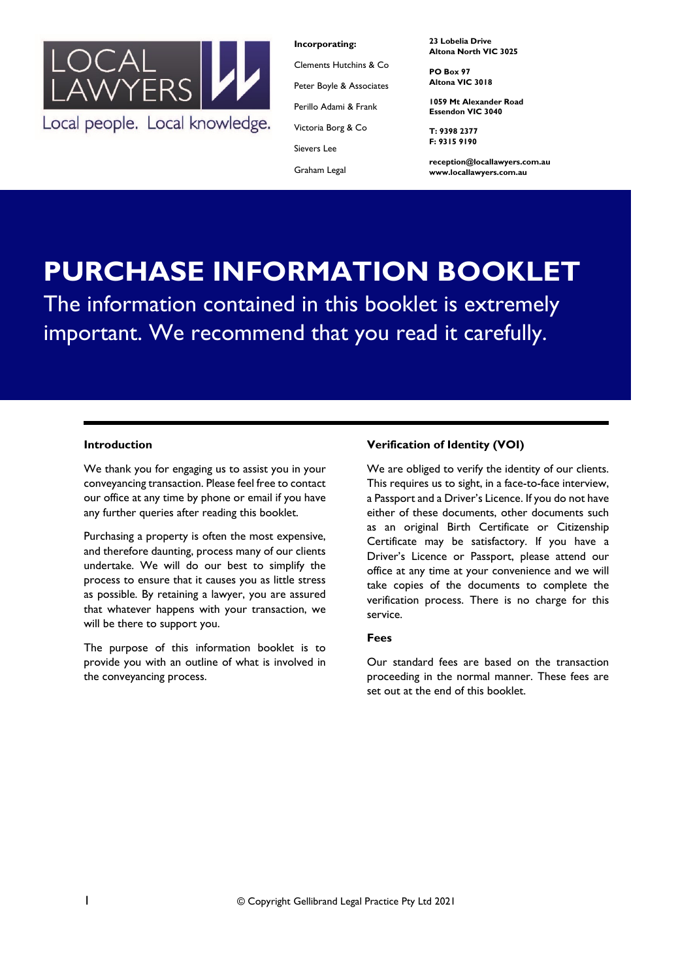

**Incorporating:**

Clements Hutchins & Co Peter Boyle & Associates Perillo Adami & Frank

Victoria Borg & Co

Sievers Lee

Graham Legal

**23 Lobelia Drive Altona North VIC 3025**

**PO Box 97 Altona VIC 3018**

**1059 Mt Alexander Road Essendon VIC 3040**

**T: 9398 2377 F: 9315 9190**

**reception@locallawyers.com.au www.locallawyers.com.au**

# **PURCHASE INFORMATION BOOKLET** The information contained in this booklet is extremely important. We recommend that you read it carefully.

# **Introduction**

We thank you for engaging us to assist you in your conveyancing transaction. Please feel free to contact our office at any time by phone or email if you have any further queries after reading this booklet.

Purchasing a property is often the most expensive, and therefore daunting, process many of our clients undertake. We will do our best to simplify the process to ensure that it causes you as little stress as possible. By retaining a lawyer, you are assured that whatever happens with your transaction, we will be there to support you.

The purpose of this information booklet is to provide you with an outline of what is involved in the conveyancing process.

# **Verification of Identity (VOI)**

We are obliged to verify the identity of our clients. This requires us to sight, in a face-to-face interview, a Passport and a Driver's Licence. If you do not have either of these documents, other documents such as an original Birth Certificate or Citizenship Certificate may be satisfactory. If you have a Driver's Licence or Passport, please attend our office at any time at your convenience and we will take copies of the documents to complete the verification process. There is no charge for this service.

## **Fees**

Our standard fees are based on the transaction proceeding in the normal manner. These fees are set out at the end of this booklet.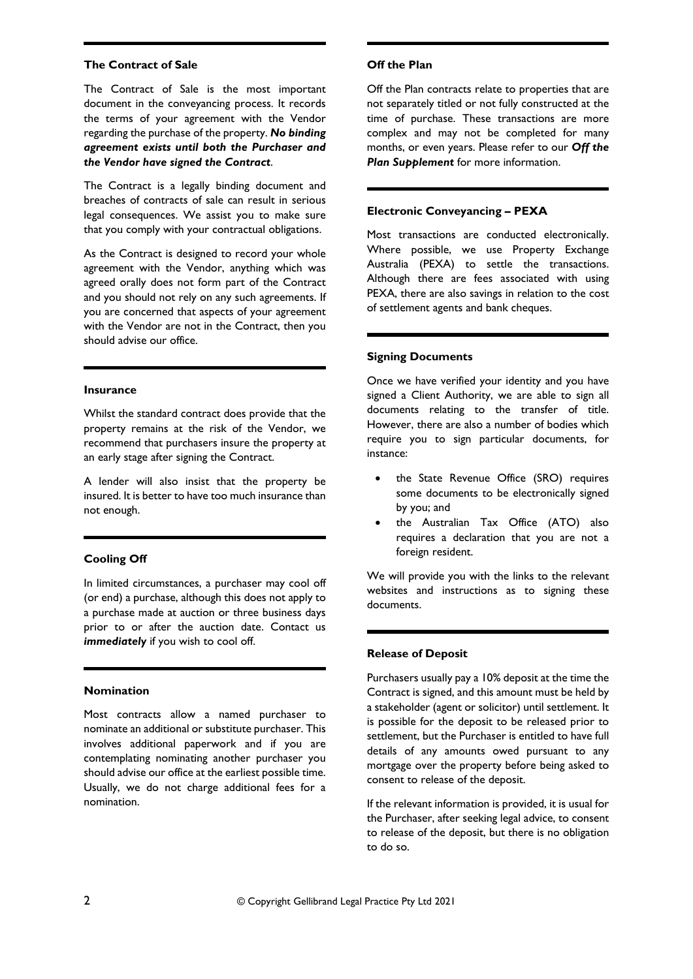#### **The Contract of Sale**

The Contract of Sale is the most important document in the conveyancing process. It records the terms of your agreement with the Vendor regarding the purchase of the property. *No binding agreement exists until both the Purchaser and the Vendor have signed the Contract*.

The Contract is a legally binding document and breaches of contracts of sale can result in serious legal consequences. We assist you to make sure that you comply with your contractual obligations.

As the Contract is designed to record your whole agreement with the Vendor, anything which was agreed orally does not form part of the Contract and you should not rely on any such agreements. If you are concerned that aspects of your agreement with the Vendor are not in the Contract, then you should advise our office.

#### **Insurance**

Whilst the standard contract does provide that the property remains at the risk of the Vendor, we recommend that purchasers insure the property at an early stage after signing the Contract.

A lender will also insist that the property be insured. It is better to have too much insurance than not enough.

# **Cooling Off**

In limited circumstances, a purchaser may cool off (or end) a purchase, although this does not apply to a purchase made at auction or three business days prior to or after the auction date. Contact us *immediately* if you wish to cool off.

#### **Nomination**

Most contracts allow a named purchaser to nominate an additional or substitute purchaser. This involves additional paperwork and if you are contemplating nominating another purchaser you should advise our office at the earliest possible time. Usually, we do not charge additional fees for a nomination.

#### **Off the Plan**

Off the Plan contracts relate to properties that are not separately titled or not fully constructed at the time of purchase. These transactions are more complex and may not be completed for many months, or even years. Please refer to our *Off the Plan Supplement* for more information.

# **Electronic Conveyancing – PEXA**

Most transactions are conducted electronically. Where possible, we use Property Exchange Australia (PEXA) to settle the transactions. Although there are fees associated with using PEXA, there are also savings in relation to the cost of settlement agents and bank cheques.

#### **Signing Documents**

Once we have verified your identity and you have signed a Client Authority, we are able to sign all documents relating to the transfer of title. However, there are also a number of bodies which require you to sign particular documents, for instance:

- the State Revenue Office (SRO) requires some documents to be electronically signed by you; and
- the Australian Tax Office (ATO) also requires a declaration that you are not a foreign resident.

We will provide you with the links to the relevant websites and instructions as to signing these documents.

#### **Release of Deposit**

Purchasers usually pay a 10% deposit at the time the Contract is signed, and this amount must be held by a stakeholder (agent or solicitor) until settlement. It is possible for the deposit to be released prior to settlement, but the Purchaser is entitled to have full details of any amounts owed pursuant to any mortgage over the property before being asked to consent to release of the deposit.

If the relevant information is provided, it is usual for the Purchaser, after seeking legal advice, to consent to release of the deposit, but there is no obligation to do so.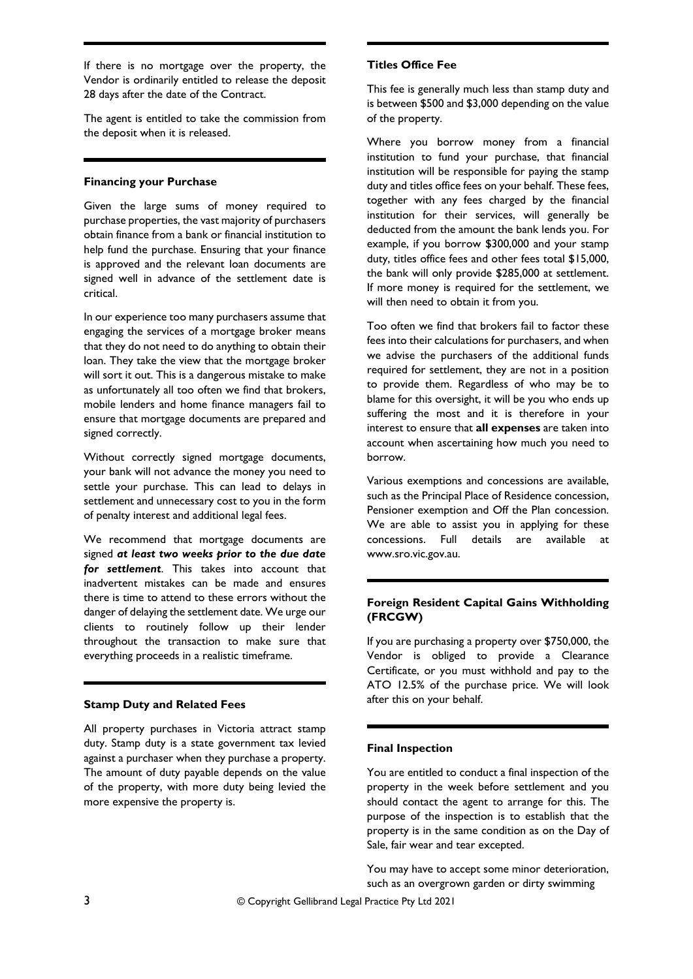If there is no mortgage over the property, the Vendor is ordinarily entitled to release the deposit 28 days after the date of the Contract.

The agent is entitled to take the commission from the deposit when it is released.

## **Financing your Purchase**

Given the large sums of money required to purchase properties, the vast majority of purchasers obtain finance from a bank or financial institution to help fund the purchase. Ensuring that your finance is approved and the relevant loan documents are signed well in advance of the settlement date is critical.

In our experience too many purchasers assume that engaging the services of a mortgage broker means that they do not need to do anything to obtain their loan. They take the view that the mortgage broker will sort it out. This is a dangerous mistake to make as unfortunately all too often we find that brokers, mobile lenders and home finance managers fail to ensure that mortgage documents are prepared and signed correctly.

Without correctly signed mortgage documents, your bank will not advance the money you need to settle your purchase. This can lead to delays in settlement and unnecessary cost to you in the form of penalty interest and additional legal fees.

We recommend that mortgage documents are signed *at least two weeks prior to the due date for settlement*. This takes into account that inadvertent mistakes can be made and ensures there is time to attend to these errors without the danger of delaying the settlement date. We urge our clients to routinely follow up their lender throughout the transaction to make sure that everything proceeds in a realistic timeframe.

#### **Stamp Duty and Related Fees**

All property purchases in Victoria attract stamp duty. Stamp duty is a state government tax levied against a purchaser when they purchase a property. The amount of duty payable depends on the value of the property, with more duty being levied the more expensive the property is.

## **Titles Office Fee**

This fee is generally much less than stamp duty and is between \$500 and \$3,000 depending on the value of the property.

Where you borrow money from a financial institution to fund your purchase, that financial institution will be responsible for paying the stamp duty and titles office fees on your behalf. These fees, together with any fees charged by the financial institution for their services, will generally be deducted from the amount the bank lends you. For example, if you borrow \$300,000 and your stamp duty, titles office fees and other fees total \$15,000, the bank will only provide \$285,000 at settlement. If more money is required for the settlement, we will then need to obtain it from you.

Too often we find that brokers fail to factor these fees into their calculations for purchasers, and when we advise the purchasers of the additional funds required for settlement, they are not in a position to provide them. Regardless of who may be to blame for this oversight, it will be you who ends up suffering the most and it is therefore in your interest to ensure that **all expenses** are taken into account when ascertaining how much you need to borrow.

Various exemptions and concessions are available, such as the Principal Place of Residence concession, Pensioner exemption and Off the Plan concession. We are able to assist you in applying for these concessions. Full details are available at www.sro.vic.gov.au.

# **Foreign Resident Capital Gains Withholding (FRCGW)**

If you are purchasing a property over \$750,000, the Vendor is obliged to provide a Clearance Certificate, or you must withhold and pay to the ATO 12.5% of the purchase price. We will look after this on your behalf.

## **Final Inspection**

You are entitled to conduct a final inspection of the property in the week before settlement and you should contact the agent to arrange for this. The purpose of the inspection is to establish that the property is in the same condition as on the Day of Sale, fair wear and tear excepted.

You may have to accept some minor deterioration, such as an overgrown garden or dirty swimming

3 © Copyright Gellibrand Legal Practice Pty Ltd 2021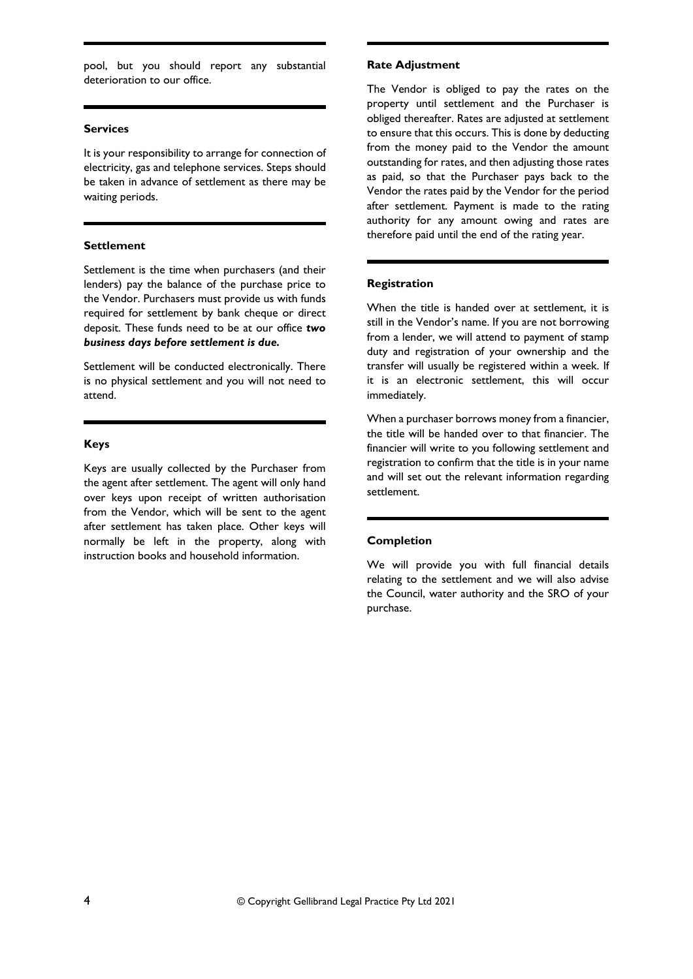pool, but you should report any substantial deterioration to our office.

#### **Services**

It is your responsibility to arrange for connection of electricity, gas and telephone services. Steps should be taken in advance of settlement as there may be waiting periods.

## **Settlement**

Settlement is the time when purchasers (and their lenders) pay the balance of the purchase price to the Vendor. Purchasers must provide us with funds required for settlement by bank cheque or direct deposit. These funds need to be at our office *two business days before settlement is due.*

Settlement will be conducted electronically. There is no physical settlement and you will not need to attend.

# **Keys**

Keys are usually collected by the Purchaser from the agent after settlement. The agent will only hand over keys upon receipt of written authorisation from the Vendor, which will be sent to the agent after settlement has taken place. Other keys will normally be left in the property, along with instruction books and household information.

## **Rate Adjustment**

The Vendor is obliged to pay the rates on the property until settlement and the Purchaser is obliged thereafter. Rates are adjusted at settlement to ensure that this occurs. This is done by deducting from the money paid to the Vendor the amount outstanding for rates, and then adjusting those rates as paid, so that the Purchaser pays back to the Vendor the rates paid by the Vendor for the period after settlement. Payment is made to the rating authority for any amount owing and rates are therefore paid until the end of the rating year.

## **Registration**

When the title is handed over at settlement, it is still in the Vendor's name. If you are not borrowing from a lender, we will attend to payment of stamp duty and registration of your ownership and the transfer will usually be registered within a week. If it is an electronic settlement, this will occur immediately.

When a purchaser borrows money from a financier, the title will be handed over to that financier. The financier will write to you following settlement and registration to confirm that the title is in your name and will set out the relevant information regarding settlement.

## **Completion**

We will provide you with full financial details relating to the settlement and we will also advise the Council, water authority and the SRO of your purchase.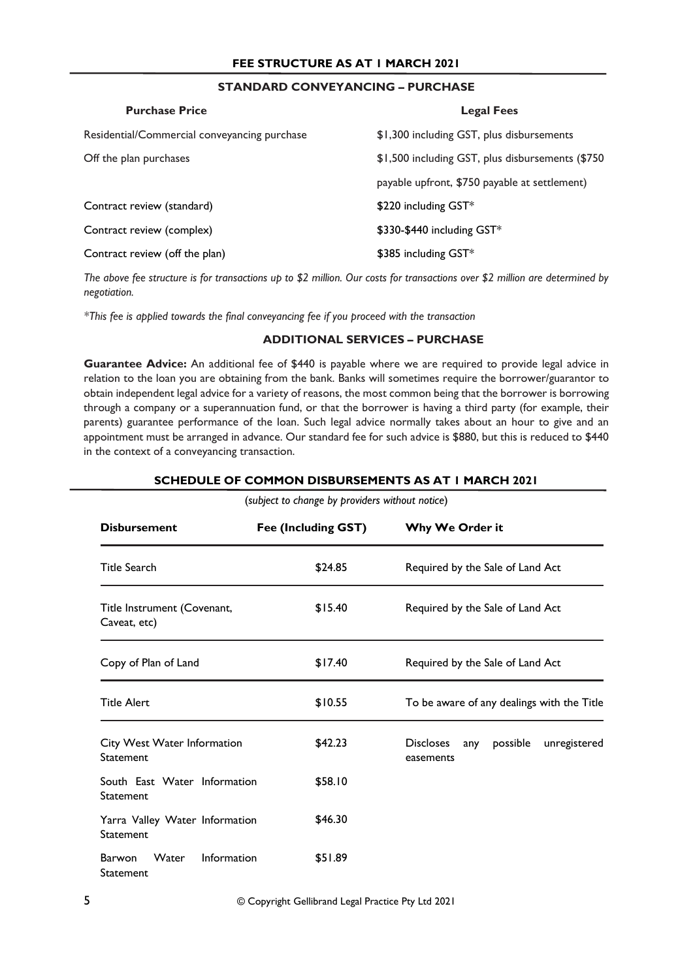# **STANDARD CONVEYANCING – PURCHASE**

| <b>Purchase Price</b>                        | <b>Legal Fees</b>                                 |
|----------------------------------------------|---------------------------------------------------|
| Residential/Commercial conveyancing purchase | \$1,300 including GST, plus disbursements         |
| Off the plan purchases                       | \$1,500 including GST, plus disbursements (\$750) |
|                                              | payable upfront, \$750 payable at settlement)     |
| Contract review (standard)                   | \$220 including GST*                              |
| Contract review (complex)                    | \$330-\$440 including GST*                        |
| Contract review (off the plan)               | \$385 including GST*                              |

*The above fee structure is for transactions up to \$2 million. Our costs for transactions over \$2 million are determined by negotiation.*

*\*This fee is applied towards the final conveyancing fee if you proceed with the transaction* 

# **ADDITIONAL SERVICES – PURCHASE**

**Guarantee Advice:** An additional fee of \$440 is payable where we are required to provide legal advice in relation to the loan you are obtaining from the bank. Banks will sometimes require the borrower/guarantor to obtain independent legal advice for a variety of reasons, the most common being that the borrower is borrowing through a company or a superannuation fund, or that the borrower is having a third party (for example, their parents) guarantee performance of the loan. Such legal advice normally takes about an hour to give and an appointment must be arranged in advance. Our standard fee for such advice is \$880, but this is reduced to \$440 in the context of a conveyancing transaction.

| (subject to change by providers without notice)           |                     |                                                                  |  |  |  |
|-----------------------------------------------------------|---------------------|------------------------------------------------------------------|--|--|--|
| <b>Disbursement</b>                                       | Fee (Including GST) | Why We Order it                                                  |  |  |  |
| <b>Title Search</b>                                       | \$24.85             | Required by the Sale of Land Act                                 |  |  |  |
| Title Instrument (Covenant,<br>Caveat, etc)               | \$15.40             | Required by the Sale of Land Act                                 |  |  |  |
| Copy of Plan of Land                                      | \$17.40             | Required by the Sale of Land Act                                 |  |  |  |
| <b>Title Alert</b>                                        | \$10.55             | To be aware of any dealings with the Title                       |  |  |  |
| City West Water Information<br>Statement                  | \$42.23             | possible<br><b>Discloses</b><br>unregistered<br>any<br>easements |  |  |  |
| South East Water Information<br>Statement                 | \$58.10             |                                                                  |  |  |  |
| Yarra Valley Water Information<br>Statement               | \$46.30             |                                                                  |  |  |  |
| Information<br><b>Barwon</b><br><b>Water</b><br>Statement | \$51.89             |                                                                  |  |  |  |

**SCHEDULE OF COMMON DISBURSEMENTS AS AT 1 MARCH 2021**